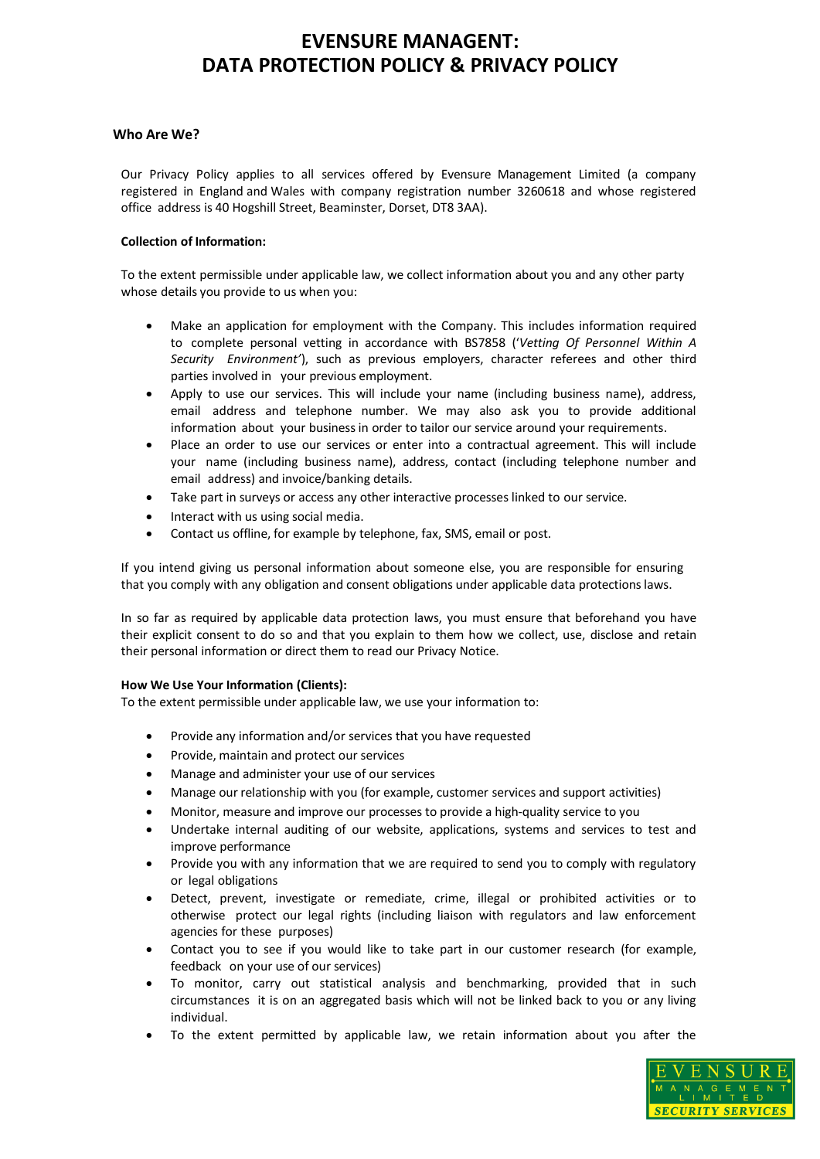### **Who Are We?**

Our Privacy Policy applies to all services offered by Evensure Management Limited (a company registered in England and Wales with company registration number 3260618 and whose registered office address is 40 Hogshill Street, Beaminster, Dorset, DT8 3AA).

### **Collection of Information:**

To the extent permissible under applicable law, we collect information about you and any other party whose details you provide to us when you:

- Make an application for employment with the Company. This includes information required to complete personal vetting in accordance with BS7858 ('*Vetting Of Personnel Within A Security Environment'*), such as previous employers, character referees and other third parties involved in your previous employment.
- Apply to use our services. This will include your name (including business name), address, email address and telephone number. We may also ask you to provide additional information about your businessin order to tailor our service around your requirements.
- Place an order to use our services or enter into a contractual agreement. This will include your name (including business name), address, contact (including telephone number and email address) and invoice/banking details.
- Take part in surveys or access any other interactive processes linked to our service.
- Interact with us using social media.
- Contact us offline, for example by telephone, fax, SMS, email or post.

If you intend giving us personal information about someone else, you are responsible for ensuring that you comply with any obligation and consent obligations under applicable data protectionslaws.

In so far as required by applicable data protection laws, you must ensure that beforehand you have their explicit consent to do so and that you explain to them how we collect, use, disclose and retain their personal information or direct them to read our Privacy Notice.

## **How We Use Your Information (Clients):**

To the extent permissible under applicable law, we use your information to:

- Provide any information and/or services that you have requested
- Provide, maintain and protect our services
- Manage and administer your use of our services
- Manage our relationship with you (for example, customer services and support activities)
- Monitor, measure and improve our processes to provide a high-quality service to you
- Undertake internal auditing of our website, applications, systems and services to test and improve performance
- Provide you with any information that we are required to send you to comply with regulatory or legal obligations
- Detect, prevent, investigate or remediate, crime, illegal or prohibited activities or to otherwise protect our legal rights (including liaison with regulators and law enforcement agencies for these purposes)
- Contact you to see if you would like to take part in our customer research (for example, feedback on your use of our services)
- To monitor, carry out statistical analysis and benchmarking, provided that in such circumstances it is on an aggregated basis which will not be linked back to you or any living individual.
- To the extent permitted by applicable law, we retain information about you after the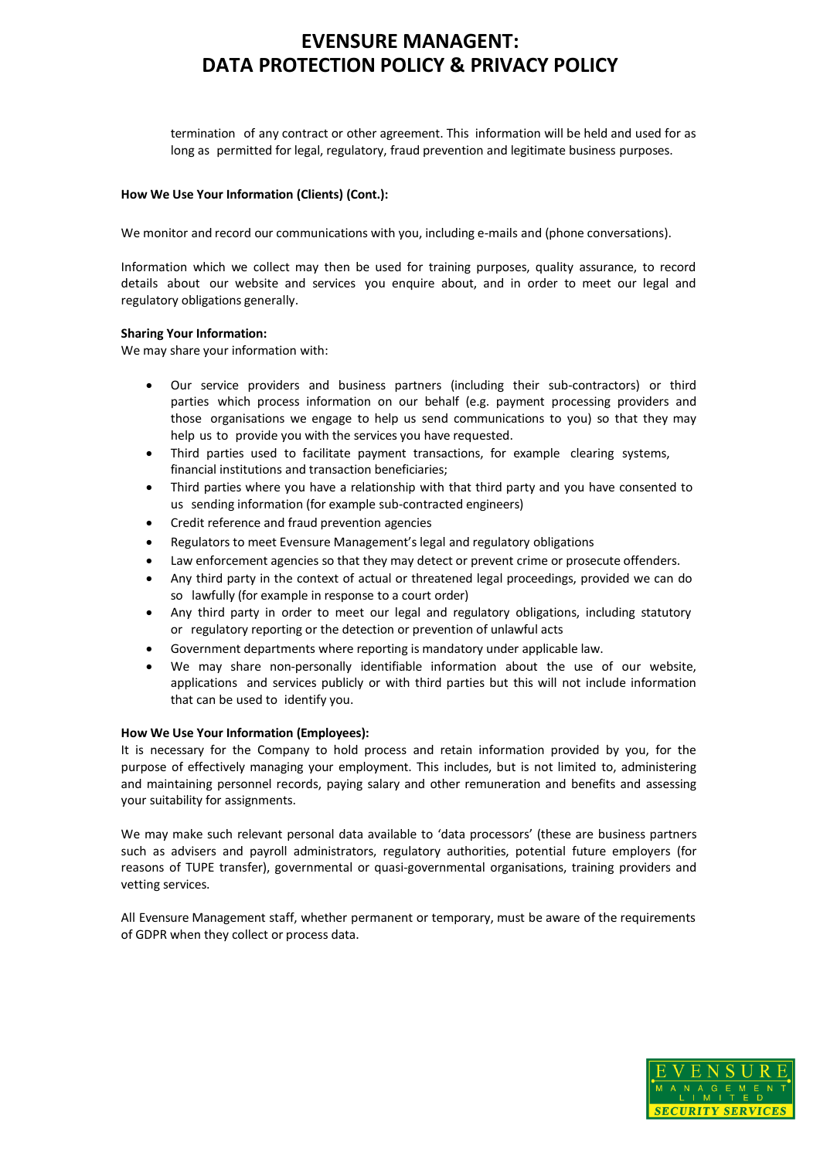termination of any contract or other agreement. This information will be held and used for as long as permitted for legal, regulatory, fraud prevention and legitimate business purposes.

### **How We Use Your Information (Clients) (Cont.):**

We monitor and record our communications with you, including e-mails and (phone conversations).

Information which we collect may then be used for training purposes, quality assurance, to record details about our website and services you enquire about, and in order to meet our legal and regulatory obligations generally.

#### **Sharing Your Information:**

We may share your information with:

- Our service providers and business partners (including their sub-contractors) or third parties which process information on our behalf (e.g. payment processing providers and those organisations we engage to help us send communications to you) so that they may help us to provide you with the services you have requested.
- Third parties used to facilitate payment transactions, for example clearing systems, financial institutions and transaction beneficiaries;
- Third parties where you have a relationship with that third party and you have consented to us sending information (for example sub-contracted engineers)
- Credit reference and fraud prevention agencies
- Regulators to meet Evensure Management'slegal and regulatory obligations
- Law enforcement agencies so that they may detect or prevent crime or prosecute offenders.
- Any third party in the context of actual or threatened legal proceedings, provided we can do so lawfully (for example in response to a court order)
- Any third party in order to meet our legal and regulatory obligations, including statutory or regulatory reporting or the detection or prevention of unlawful acts
- Government departments where reporting is mandatory under applicable law.
- We may share non-personally identifiable information about the use of our website, applications and services publicly or with third parties but this will not include information that can be used to identify you.

#### **How We Use Your Information (Employees):**

It is necessary for the Company to hold process and retain information provided by you, for the purpose of effectively managing your employment. This includes, but is not limited to, administering and maintaining personnel records, paying salary and other remuneration and benefits and assessing your suitability for assignments.

We may make such relevant personal data available to 'data processors' (these are business partners such as advisers and payroll administrators, regulatory authorities, potential future employers (for reasons of TUPE transfer), governmental or quasi-governmental organisations, training providers and vetting services.

All Evensure Management staff, whether permanent or temporary, must be aware of the requirements of GDPR when they collect or process data.

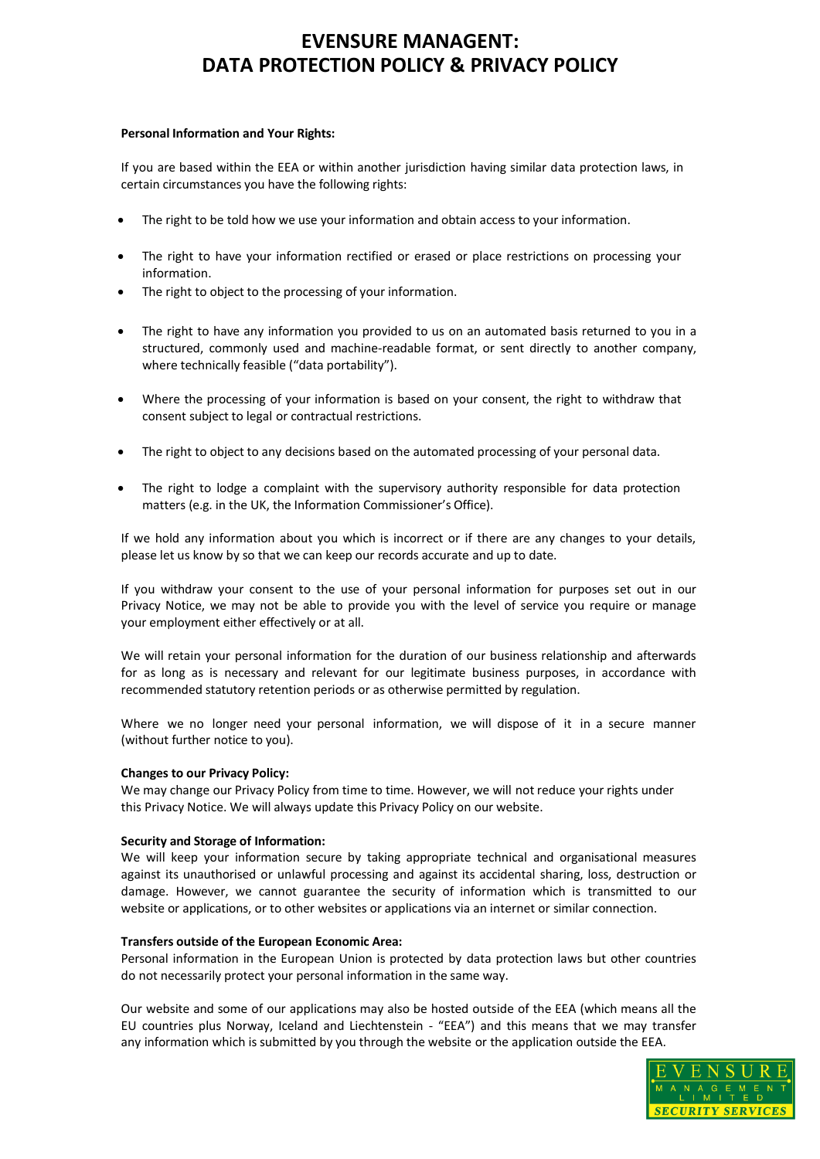#### **Personal Information and Your Rights:**

If you are based within the EEA or within another jurisdiction having similar data protection laws, in certain circumstances you have the following rights:

- The right to be told how we use your information and obtain access to your information.
- The right to have your information rectified or erased or place restrictions on processing your information.
- The right to object to the processing of your information.
- The right to have any information you provided to us on an automated basis returned to you in a structured, commonly used and machine-readable format, or sent directly to another company, where technically feasible ("data portability").
- Where the processing of your information is based on your consent, the right to withdraw that consent subject to legal or contractual restrictions.
- The right to object to any decisions based on the automated processing of your personal data.
- The right to lodge a complaint with the supervisory authority responsible for data protection matters (e.g. in the UK, the Information Commissioner's Office).

If we hold any information about you which is incorrect or if there are any changes to your details, please let us know by so that we can keep our records accurate and up to date.

If you withdraw your consent to the use of your personal information for purposes set out in our Privacy Notice, we may not be able to provide you with the level of service you require or manage your employment either effectively or at all.

We will retain your personal information for the duration of our business relationship and afterwards for as long as is necessary and relevant for our legitimate business purposes, in accordance with recommended statutory retention periods or as otherwise permitted by regulation.

Where we no longer need your personal information, we will dispose of it in a secure manner (without further notice to you).

## **Changes to our Privacy Policy:**

We may change our Privacy Policy from time to time. However, we will not reduce your rights under this Privacy Notice. We will always update this Privacy Policy on our website.

## **Security and Storage of Information:**

We will keep your information secure by taking appropriate technical and organisational measures against its unauthorised or unlawful processing and against its accidental sharing, loss, destruction or damage. However, we cannot guarantee the security of information which is transmitted to our website or applications, or to other websites or applications via an internet or similar connection.

#### **Transfers outside of the European Economic Area:**

Personal information in the European Union is protected by data protection laws but other countries do not necessarily protect your personal information in the same way.

Our website and some of our applications may also be hosted outside of the EEA (which means all the EU countries plus Norway, Iceland and Liechtenstein - "EEA") and this means that we may transfer any information which is submitted by you through the website or the application outside the EEA.

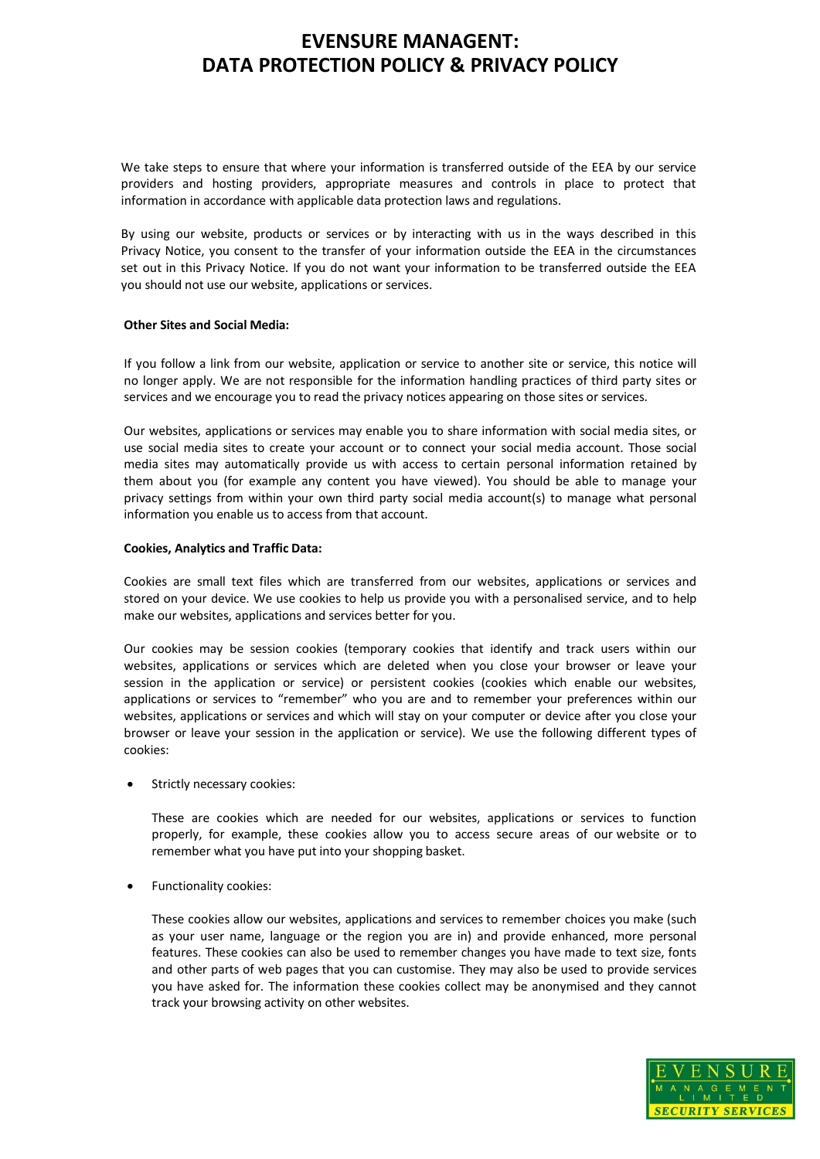We take steps to ensure that where your information is transferred outside of the EEA by our service providers and hosting providers, appropriate measures and controls in place to protect that information in accordance with applicable data protection laws and regulations.

By using our website, products or services or by interacting with us in the ways described in this Privacy Notice, you consent to the transfer of your information outside the EEA in the circumstances set out in this Privacy Notice. If you do not want your information to be transferred outside the EEA you should not use our website, applications or services.

#### **Other Sites and Social Media:**

If you follow a link from our website, application or service to another site or service, this notice will no longer apply. We are not responsible for the information handling practices of third party sites or services and we encourage you to read the privacy notices appearing on those sites or services.

Our websites, applications or services may enable you to share information with social media sites, or use social media sites to create your account or to connect your social media account. Those social media sites may automatically provide us with access to certain personal information retained by them about you (for example any content you have viewed). You should be able to manage your privacy settings from within your own third party social media account(s) to manage what personal information you enable us to access from that account.

#### **Cookies, Analytics and Traffic Data:**

Cookies are small text files which are transferred from our websites, applications or services and stored on your device. We use cookies to help us provide you with a personalised service, and to help make our websites, applications and services better for you.

Our cookies may be session cookies (temporary cookies that identify and track users within our websites, applications or services which are deleted when you close your browser or leave your session in the application or service) or persistent cookies (cookies which enable our websites, applications or services to "remember" who you are and to remember your preferences within our websites, applications or services and which will stay on your computer or device after you close your browser or leave your session in the application or service). We use the following different types of cookies:

Strictly necessary cookies:

These are cookies which are needed for our websites, applications or services to function properly, for example, these cookies allow you to access secure areas of our website or to remember what you have put into your shopping basket.

Functionality cookies:

These cookies allow our websites, applications and services to remember choices you make (such as your user name, language or the region you are in) and provide enhanced, more personal features. These cookies can also be used to remember changes you have made to text size, fonts and other parts of web pages that you can customise. They may also be used to provide services you have asked for. The information these cookies collect may be anonymised and they cannot track your browsing activity on other websites.